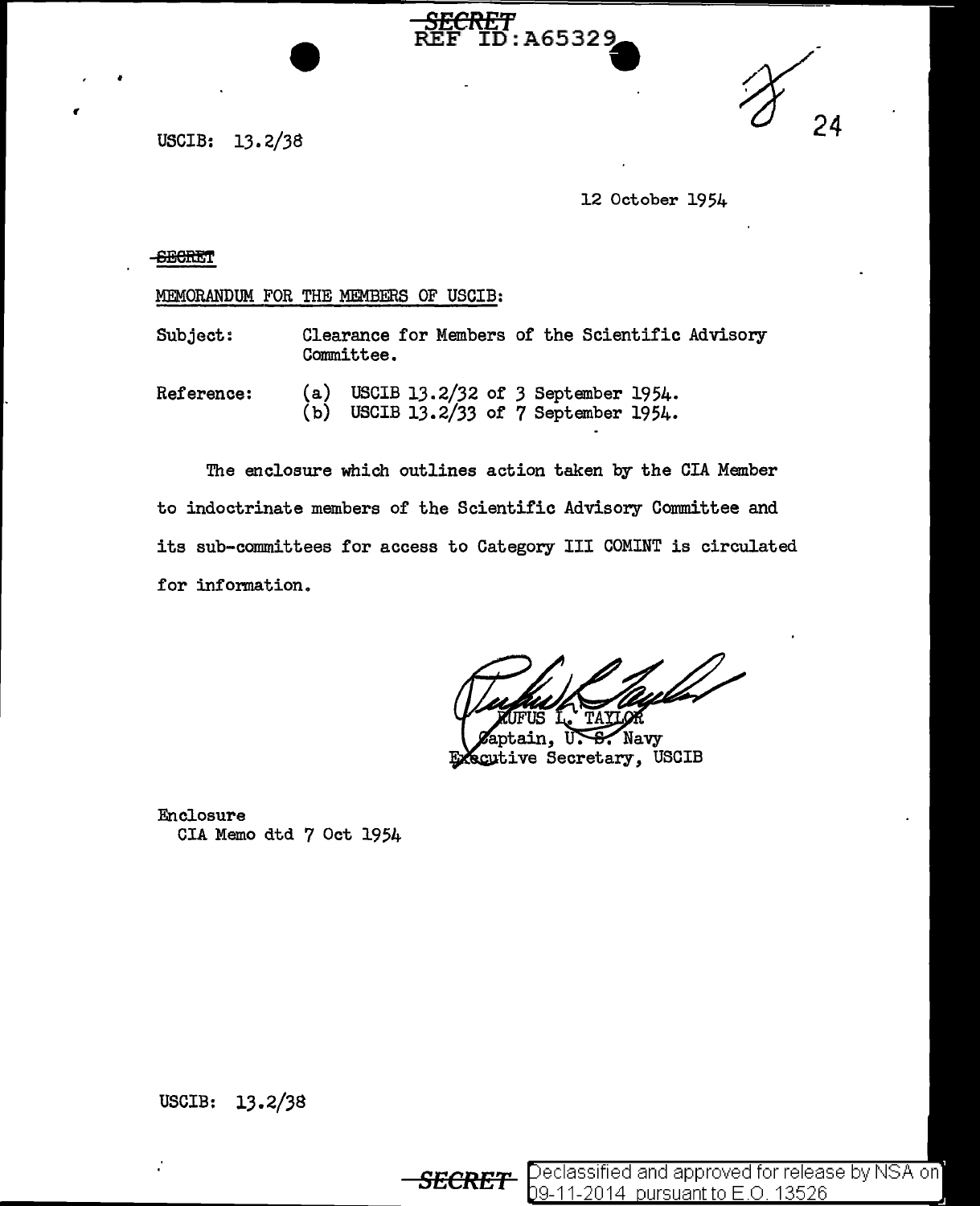USCIB: 13. 2/38

12 October 1954

## **SECRET**

•

MEMORANDUM FOR THE MEMBERS OF USCIB:

Subject: Clearance for Members of the Scientific Advisory Committee.

*SECRET* 

: A65329

Reference: (a) USCIB 13.2/32 of 3 September 1954.  $(b)$  USCIB 13.2/33 of 7 September 1954.

The enclosure which outlines action taken by the CIA Member to indoctrinate members 0£ the Scientific Advisory Committee and its sub-committees for access to Category III COMINT is circulated for infomation.

Navy in. scutive Secretary, USCIB

Enclosure CIA Memo dtd 7 Oct 1954

USCIB: 13.2/38